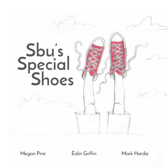

Megan Pirie Éidín Griffin Mark Hardie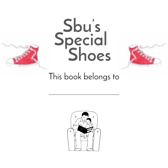# **Shoes Sbu's Special**



### This book belongs to

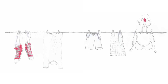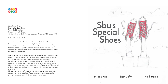

Sbu's Special Shoes Illustrated by Éidín Griffin Written by Megan Pirie Designed by Mark Hardie with the help of the Book Dash participants in Durban on 11 November 2015.

ISBN: 978-1-928318-37-8

This work is licensed under a Creative Commons Attribution 4.0 Licence (http://creativecommons.org/licenses/by/4.0/). You are free to share (copy and redistribute the material in any medium or format) and adapt (remix, transform, and build upon the material) this work for any purpose, even commercially. The licensor cannot revoke these freedoms as long as you follow the following license terms:

Attribution: You must give appropriate credit, provide a link to the license, and indicate if changes were made. You may do so in any reasonable manner, but not in any way that suggests the licensor endorses you or your use. No additional restrictions: You may not apply legal terms or technological measures that legally restrict others from doing anything the license permits. Notices: You do not have to comply with the license for elements of the material in the public domain or where your use is permitted by an applicable exception or limitation.

No warranties are given. The license may not give you all of the permissions necessary for your intended use. For example, other rights such as publicity, privacy, or moral rights may limit how you use the material.



### Megan Pirie Éidín Griffin Mark Hardie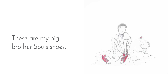## These are my big brother Sbu's shoes.

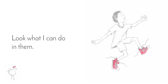## Look what I can do in them.



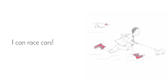## I can race cars!

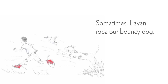

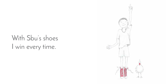With Sbu's shoes I win every time.



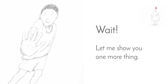

# Wait!

## Let me show you one more thing.

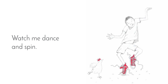## Watch me dance and spin.

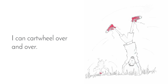## I can cartwheel over and over.

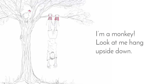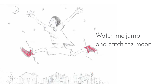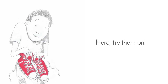

## Here, try them on!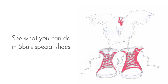## See what **you** can do in Sbu's special shoes.

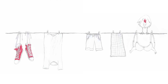